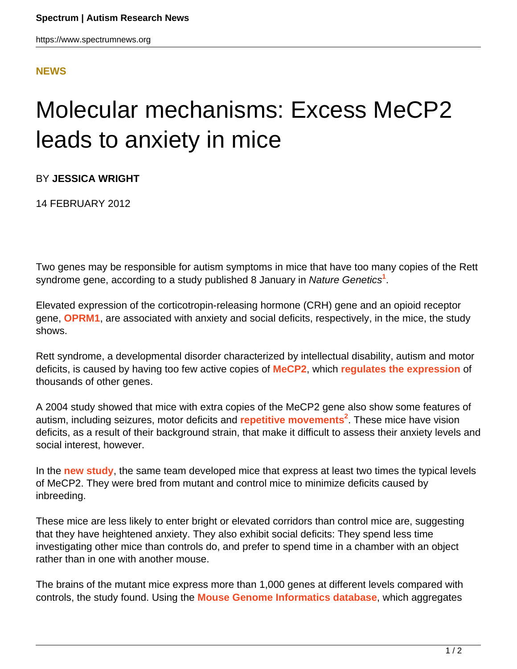## **[NEWS](HTTPS://WWW.SPECTRUMNEWS.ORG/NEWS/)**

## Molecular mechanisms: Excess MeCP2 leads to anxiety in mice

BY **JESSICA WRIGHT**

14 FEBRUARY 2012

Two genes may be responsible for autism symptoms in mice that have too many copies of the Rett syndrome gene, according to a study published 8 January in Nature Genetics**<sup>1</sup>** .

Elevated expression of the corticotropin-releasing hormone (CRH) gene and an opioid receptor gene, **[OPRM1](https://gene.sfari.org/GeneDetail/OPRM1#HG)**, are associated with anxiety and social deficits, respectively, in the mice, the study shows.

Rett syndrome, a developmental disorder characterized by intellectual disability, autism and motor deficits, is caused by having too few active copies of **[MeCP2](https://gene.sfari.org/GeneDetail/MECP2#HG)**, which **[regulates the expression](../../../../news-and-opinion/news/2011/rett-syndrome-gene-is-unexpected-activator-of-thousands-of-genes)** of thousands of other genes.

A 2004 study showed that mice with extra copies of the MeCP2 gene also show some features of autism, including seizures, motor deficits and **[repetitive movements](https://www.spectrumnews.org/wiki/repetitive-behavior)<sup>2</sup>** . These mice have vision deficits, as a result of their background strain, that make it difficult to assess their anxiety levels and social interest, however.

In the **[new study](https://www.spectrumnews.org/conference-news/2011/society-for-neuroscience-2011/different-doses-of-rett-protein-produce-similar-effects)**, the same team developed mice that express at least two times the typical levels of MeCP2. They were bred from mutant and control mice to minimize deficits caused by inbreeding.

These mice are less likely to enter bright or elevated corridors than control mice are, suggesting that they have heightened anxiety. They also exhibit social deficits: They spend less time investigating other mice than controls do, and prefer to spend time in a chamber with an object rather than in one with another mouse.

The brains of the mutant mice express more than 1,000 genes at different levels compared with controls, the study found. Using the **[Mouse Genome Informatics database](https://www.spectrumnews.org/toolbox/2011/genetics-informatics-links-mouse-mutations-to-autism)**, which aggregates